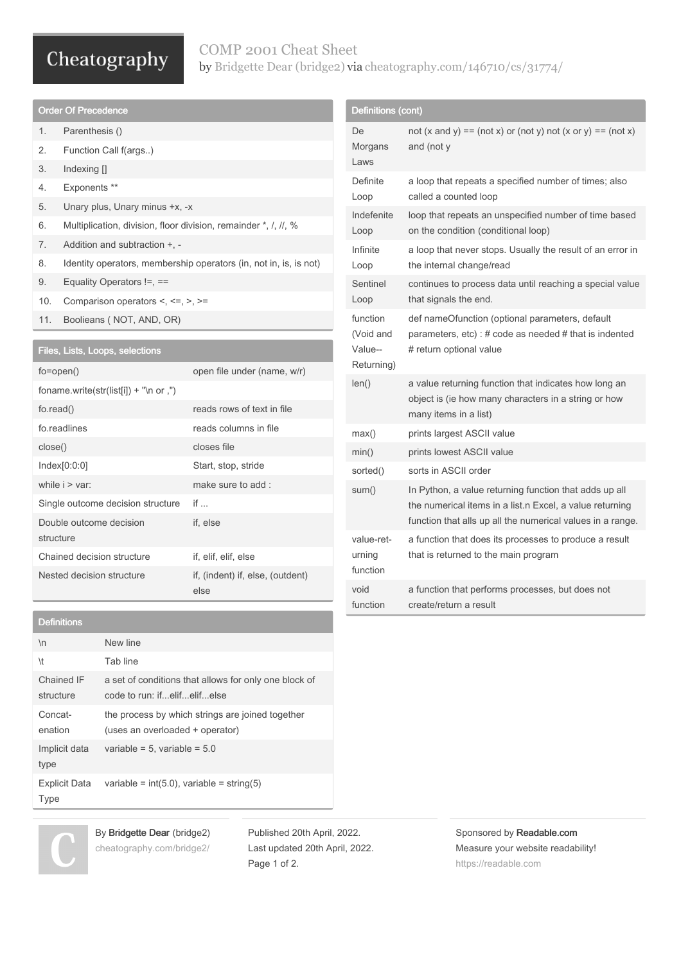# Cheatography

### COMP 2001 Cheat Sheet by Bridgette Dear [\(bridge2\)](http://www.cheatography.com/bridge2/) via [cheatography.com/146710/cs/31774/](http://www.cheatography.com/bridge2/cheat-sheets/comp-2001)

| <b>Order Of Precedence</b>                                                               |                                                                   |                                        |  |  |
|------------------------------------------------------------------------------------------|-------------------------------------------------------------------|----------------------------------------|--|--|
| 1.                                                                                       | Parenthesis ()                                                    |                                        |  |  |
| 2.                                                                                       | Function Call f(args)                                             |                                        |  |  |
| 3.                                                                                       | Indexing $[]$                                                     |                                        |  |  |
| 4.                                                                                       | Exponents **                                                      |                                        |  |  |
| 5.                                                                                       | Unary plus, Unary minus +x, -x                                    |                                        |  |  |
| 6.                                                                                       | Multiplication, division, floor division, remainder *, /, //, %   |                                        |  |  |
| 7.                                                                                       | Addition and subtraction +, -                                     |                                        |  |  |
| 8.                                                                                       | Identity operators, membership operators (in, not in, is, is not) |                                        |  |  |
| 9.                                                                                       | Equality Operators $!=$ , $==$                                    |                                        |  |  |
| 10.                                                                                      | Comparison operators $\lt$ , $\lt$ =, $\gt$ , $\gt$ =             |                                        |  |  |
| 11.                                                                                      | Boolieans (NOT, AND, OR)                                          |                                        |  |  |
|                                                                                          |                                                                   |                                        |  |  |
| Files, Lists, Loops, selections                                                          |                                                                   |                                        |  |  |
| $fo = open()$                                                                            |                                                                   | open file under (name, w/r)            |  |  |
| foname.write(str(list[i]) + "\n or ,")                                                   |                                                                   |                                        |  |  |
| $f$ o.read $()$                                                                          |                                                                   | reads rows of text in file             |  |  |
| $\mathcal{L}_{\text{max}}$ and $\mathcal{L}_{\text{max}}$ and $\mathcal{L}_{\text{max}}$ |                                                                   | a dia 1970 - Antonio di Galilei, altre |  |  |

| fo readlines                         | reads columns in file                    |
|--------------------------------------|------------------------------------------|
| close()                              | closes file                              |
| Index[0:0:0]                         | Start, stop, stride                      |
| while $i > \text{var}$ :             | make sure to add:                        |
| Single outcome decision structure    | if                                       |
| Double outcome decision<br>structure | if. else                                 |
| Chained decision structure           | if, elif, elif, else                     |
| Nested decision structure            | if, (indent) if, else, (outdent)<br>else |

#### Definitions

| $\ln$                               | New line                                                                             |
|-------------------------------------|--------------------------------------------------------------------------------------|
| \t                                  | Tab line                                                                             |
| Chained IF<br>structure             | a set of conditions that allows for only one block of<br>code to run: ifelifelifelse |
| Concat-<br>enation                  | the process by which strings are joined together<br>(uses an overloaded + operator)  |
| Implicit data<br>type               | variable = $5$ , variable = $5.0$                                                    |
| <b>Explicit Data</b><br><b>Type</b> | variable = $int(5.0)$ , variable = string(5)                                         |

| Definitions (cont)                             |                                                                                                                                                                                  |  |  |
|------------------------------------------------|----------------------------------------------------------------------------------------------------------------------------------------------------------------------------------|--|--|
| De<br>Morgans<br>Laws                          | not $(x \text{ and } y) == (\text{not } x)$ or $(\text{not } y)$ not $(x \text{ or } y) == (\text{not } x)$<br>and (not y                                                        |  |  |
| Definite<br>Loop                               | a loop that repeats a specified number of times; also<br>called a counted loop                                                                                                   |  |  |
| Indefenite<br>Loop                             | loop that repeats an unspecified number of time based<br>on the condition (conditional loop)                                                                                     |  |  |
| Infinite<br>Loop                               | a loop that never stops. Usually the result of an error in<br>the internal change/read                                                                                           |  |  |
| Sentinel<br>Loop                               | continues to process data until reaching a special value<br>that signals the end.                                                                                                |  |  |
| function<br>(Void and<br>Value--<br>Returning) | def nameOfunction (optional parameters, default<br>parameters, $etc$ ): # code as needed # that is indented<br># return optional value                                           |  |  |
| len()                                          | a value returning function that indicates how long an<br>object is (ie how many characters in a string or how<br>many items in a list)                                           |  |  |
| max()                                          | prints largest ASCII value                                                                                                                                                       |  |  |
| min()                                          | prints lowest ASCII value                                                                                                                                                        |  |  |
| sorted()                                       | sorts in ASCII order                                                                                                                                                             |  |  |
| sum()                                          | In Python, a value returning function that adds up all<br>the numerical items in a list.n Excel, a value returning<br>function that alls up all the numerical values in a range. |  |  |
| value-ret-<br>urning<br>function               | a function that does its processes to produce a result<br>that is returned to the main program                                                                                   |  |  |
| hiov<br>function                               | a function that performs processes, but does not<br>create/return a result                                                                                                       |  |  |



By Bridgette Dear (bridge2) [cheatography.com/bridge2/](http://www.cheatography.com/bridge2/)

Published 20th April, 2022. Last updated 20th April, 2022. Page 1 of 2.

Sponsored by Readable.com Measure your website readability! <https://readable.com>